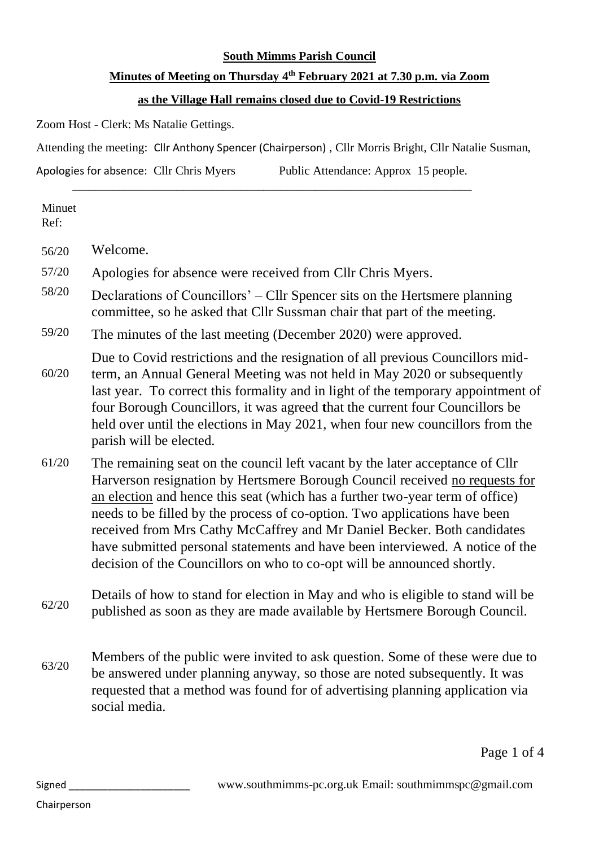## **South Mimms Parish Council**

## **Minutes of Meeting on Thursday 4 th February 2021 at 7.30 p.m. via Zoom**

## **as the Village Hall remains closed due to Covid-19 Restrictions**

Zoom Host - Clerk: Ms Natalie Gettings.

Attending the meeting: Cllr Anthony Spencer (Chairperson) , Cllr Morris Bright, Cllr Natalie Susman,

\_\_\_\_\_\_\_\_\_\_\_\_\_\_\_\_\_\_\_\_\_\_\_\_\_\_\_\_\_\_\_\_\_\_\_\_\_\_\_\_\_\_\_\_\_\_\_\_\_\_\_\_\_\_\_\_\_\_\_\_\_\_\_\_\_\_\_\_\_

Apologies for absence: Cllr Chris Myers Public Attendance: Approx 15 people.

Minuet Ref:

56/20 Welcome.

57/20 Apologies for absence were received from Cllr Chris Myers.

- 58/20 Declarations of Councillors' – Cllr Spencer sits on the Hertsmere planning committee, so he asked that Cllr Sussman chair that part of the meeting.
- 59/20 The minutes of the last meeting (December 2020) were approved.

60/20 Due to Covid restrictions and the resignation of all previous Councillors midterm, an Annual General Meeting was not held in May 2020 or subsequently last year. To correct this formality and in light of the temporary appointment of four Borough Councillors, it was agreed **t**hat the current four Councillors be held over until the elections in May 2021, when four new councillors from the parish will be elected.

- 61/20 The remaining seat on the council left vacant by the later acceptance of Cllr Harverson resignation by Hertsmere Borough Council received no requests for an election and hence this seat (which has a further two-year term of office) needs to be filled by the process of co-option. Two applications have been received from Mrs Cathy McCaffrey and Mr Daniel Becker. Both candidates have submitted personal statements and have been interviewed. A notice of the decision of the Councillors on who to co-opt will be announced shortly.
- 62/20 Details of how to stand for election in May and who is eligible to stand will be published as soon as they are made available by Hertsmere Borough Council.
- 63/20 Members of the public were invited to ask question. Some of these were due to be answered under planning anyway, so those are noted subsequently. It was requested that a method was found for of advertising planning application via social media.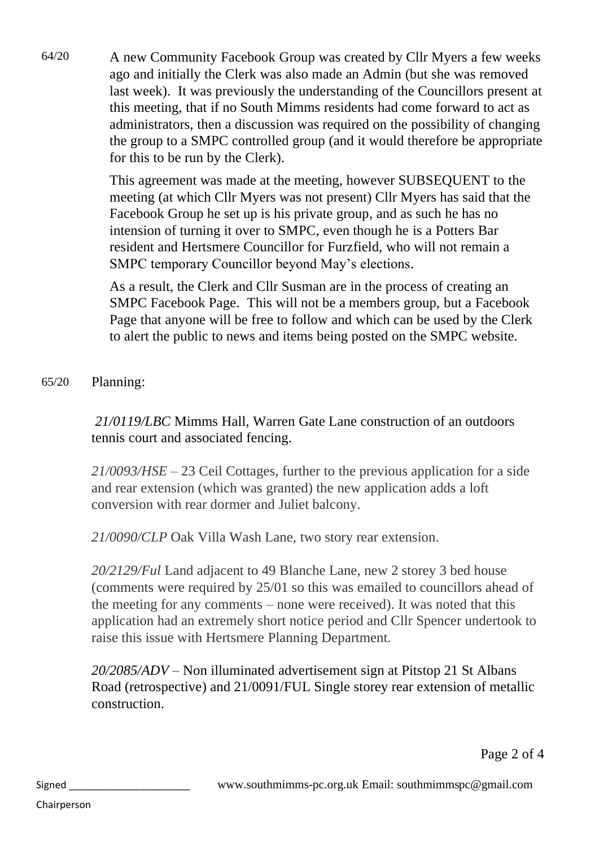64/20 A new Community Facebook Group was created by Cllr Myers a few weeks ago and initially the Clerk was also made an Admin (but she was removed last week). It was previously the understanding of the Councillors present at this meeting, that if no South Mimms residents had come forward to act as administrators, then a discussion was required on the possibility of changing the group to a SMPC controlled group (and it would therefore be appropriate for this to be run by the Clerk).

> This agreement was made at the meeting, however SUBSEQUENT to the meeting (at which Cllr Myers was not present) Cllr Myers has said that the Facebook Group he set up is his private group, and as such he has no intension of turning it over to SMPC, even though he is a Potters Bar resident and Hertsmere Councillor for Furzfield, who will not remain a SMPC temporary Councillor beyond May's elections.

> As a result, the Clerk and Cllr Susman are in the process of creating an SMPC Facebook Page. This will not be a members group, but a Facebook Page that anyone will be free to follow and which can be used by the Clerk to alert the public to news and items being posted on the SMPC website.

## 65/20 Planning:

*21/0119/LBC* Mimms Hall, Warren Gate Lane construction of an outdoors tennis court and associated fencing.

*21/0093/HSE* – 23 Ceil Cottages, further to the previous application for a side and rear extension (which was granted) the new application adds a loft conversion with rear dormer and Juliet balcony.

*21/0090/CLP* Oak Villa Wash Lane, two story rear extension.

*20/2129/Ful* Land adjacent to 49 Blanche Lane, new 2 storey 3 bed house (comments were required by 25/01 so this was emailed to councillors ahead of the meeting for any comments – none were received). It was noted that this application had an extremely short notice period and Cllr Spencer undertook to raise this issue with Hertsmere Planning Department.

*20/2085/ADV* – Non illuminated advertisement sign at Pitstop 21 St Albans Road (retrospective) and 21/0091/FUL Single storey rear extension of metallic construction.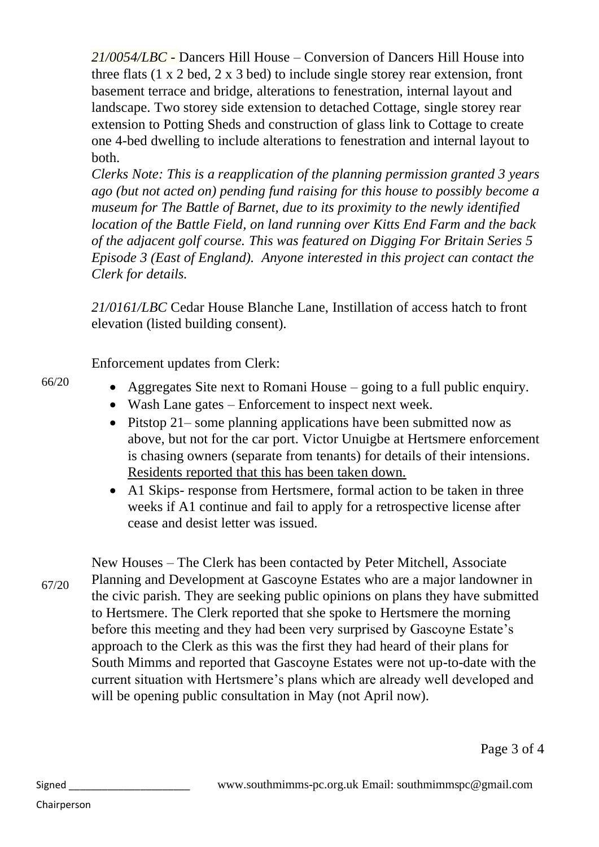*21/0054/LBC* - Dancers Hill House – Conversion of Dancers Hill House into three flats (1 x 2 bed, 2 x 3 bed) to include single storey rear extension, front basement terrace and bridge, alterations to fenestration, internal layout and landscape. Two storey side extension to detached Cottage, single storey rear extension to Potting Sheds and construction of glass link to Cottage to create one 4-bed dwelling to include alterations to fenestration and internal layout to both.

*Clerks Note: This is a reapplication of the planning permission granted 3 years ago (but not acted on) pending fund raising for this house to possibly become a museum for The Battle of Barnet, due to its proximity to the newly identified location of the Battle Field, on land running over Kitts End Farm and the back of the adjacent golf course. This was featured on Digging For Britain Series 5 Episode 3 (East of England). Anyone interested in this project can contact the Clerk for details.* 

*21/0161/LBC* Cedar House Blanche Lane, Instillation of access hatch to front elevation (listed building consent).

Enforcement updates from Clerk:

- Aggregates Site next to Romani House going to a full public enquiry.
- Wash Lane gates Enforcement to inspect next week.
- Pitstop 21– some planning applications have been submitted now as above, but not for the car port. Victor Unuigbe at Hertsmere enforcement is chasing owners (separate from tenants) for details of their intensions. Residents reported that this has been taken down.
- A1 Skips- response from Hertsmere, formal action to be taken in three weeks if A1 continue and fail to apply for a retrospective license after cease and desist letter was issued.

67/20

66/20

New Houses – The Clerk has been contacted by Peter Mitchell, Associate Planning and Development at Gascoyne Estates who are a major landowner in the civic parish. They are seeking public opinions on plans they have submitted to Hertsmere. The Clerk reported that she spoke to Hertsmere the morning before this meeting and they had been very surprised by Gascoyne Estate's approach to the Clerk as this was the first they had heard of their plans for South Mimms and reported that Gascoyne Estates were not up-to-date with the current situation with Hertsmere's plans which are already well developed and will be opening public consultation in May (not April now).